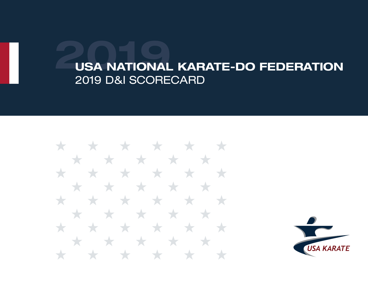

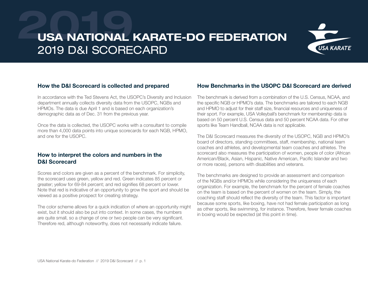

#### How the D&I Scorecard is collected and prepared

In accordance with the Ted Stevens Act, the USOPC's Diversity and Inclusion department annually collects diversity data from the USOPC, NGBs and HPMOs. The data is due April 1 and is based on each organization's demographic data as of Dec. 31 from the previous year.

Once the data is collected, the USOPC works with a consultant to compile more than 4,000 data points into unique scorecards for each NGB, HPMO, and one for the USOPC.

#### How to interpret the colors and numbers in the D&I Scorecard

Scores and colors are given as a percent of the benchmark. For simplicity, the scorecard uses green, yellow and red. Green indicates 85 percent or greater; yellow for 69-84 percent; and red signifies 68 percent or lower. Note that red is indicative of an opportunity to grow the sport and should be viewed as a positive prospect for creating strategy.

The color scheme allows for a quick indication of where an opportunity might exist, but it should also be put into context. In some cases, the numbers are quite small, so a change of one or two people can be very significant. Therefore red, although noteworthy, does not necessarily indicate failure.

#### How Benchmarks in the USOPC D&I Scorecard are derived

The benchmark is derived from a combination of the U.S. Census, NCAA, and the specific NGB or HPMO's data. The benchmarks are tailored to each NGB and HPMO to adjust for their staff size, financial resources and uniqueness of their sport. For example, USA Volleyball's benchmark for membership data is based on 50 percent U.S. Census data and 50 percent NCAA data. For other sports like Team Handball, NCAA data is not applicable.

The D&I Scorecard measures the diversity of the USOPC, NGB and HPMO's board of directors, standing committees, staff, membership, national team coaches and athletes, and developmental team coaches and athletes. The scorecard also measures the participation of women, people of color (African American/Black, Asian, Hispanic, Native American, Pacific Islander and two or more races), persons with disabilities and veterans.

The benchmarks are designed to provide an assessment and comparison of the NGBs and/or HPMOs while considering the uniqueness of each organization. For example, the benchmark for the percent of female coaches on the team is based on the percent of women on the team. Simply, the coaching staff should reflect the diversity of the team. This factor is important because some sports, like boxing, have not had female participation as long as other sports, like swimming, for instance. Therefore, fewer female coaches in boxing would be expected (at this point in time).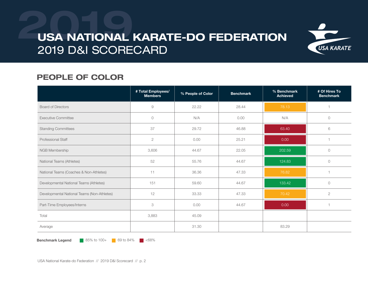

### PEOPLE OF COLOR

|                                             | # Total Employees/<br><b>Members</b> | % People of Color | <b>Benchmark</b> | % Benchmark<br><b>Achieved</b> | # Of Hires To<br><b>Benchmark</b> |
|---------------------------------------------|--------------------------------------|-------------------|------------------|--------------------------------|-----------------------------------|
| <b>Board of Directors</b>                   | 9                                    | 22.22             | 28.44            | 78.13                          |                                   |
| <b>Executive Committee</b>                  | $\circ$                              | N/A               | 0.00             | N/A                            | $\circ$                           |
| <b>Standing Committees</b>                  | 37                                   | 29.72             | 46.88            | 63.40                          | 6                                 |
| Professional Staff                          | $\mathbf{2}$                         | 0.00              | 25.21            | 0.00                           |                                   |
| NGB Membership                              | 3,606                                | 44.67             | 22.05            | 202.59                         | $\circ$                           |
| National Teams (Athletes)                   | 52                                   | 55.76             | 44.67            | 124.83                         | $\circ$                           |
| National Teams (Coaches & Non-Athletes)     | 11                                   | 36.36             | 47.33            | 76.82                          |                                   |
| Developmental National Teams (Athletes)     | 151                                  | 59.60             | 44.67            | 133.42                         | $\circ$                           |
| Developmental National Teams (Non-Athletes) | 12                                   | 33.33             | 47.33            | 70.42                          | $\overline{2}$                    |
| Part-Time Employees/Interns                 | 3                                    | 0.00              | 44.67            | 0.00                           |                                   |
| Total                                       | 3,883                                | 45.09             |                  |                                |                                   |
| Average                                     |                                      | 31.30             |                  | 83.29                          |                                   |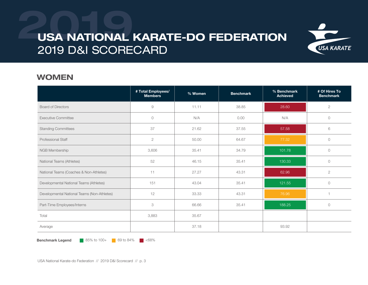

#### WOMEN

|                                             | # Total Employees/<br><b>Members</b> | % Women | <b>Benchmark</b> | % Benchmark<br><b>Achieved</b> | # Of Hires To<br><b>Benchmark</b> |
|---------------------------------------------|--------------------------------------|---------|------------------|--------------------------------|-----------------------------------|
| <b>Board of Directors</b>                   | $\emph{9}$                           | 11.11   | 38.85            | 28.60                          | $\mathbf{2}$                      |
| <b>Executive Committee</b>                  | $\circ$                              | N/A     | 0.00             | N/A                            | $\circ$                           |
| <b>Standing Committees</b>                  | 37                                   | 21.62   | 37.55            | 57.58                          | 6                                 |
| <b>Professional Staff</b>                   | $\overline{2}$                       | 50.00   | 64.67            | 77.32                          | $\circ$                           |
| NGB Membership                              | 3,606                                | 35.41   | 34.79            | 101.78                         | $\circ$                           |
| National Teams (Athletes)                   | 52                                   | 46.15   | 35.41            | 130.33                         | $\circ$                           |
| National Teams (Coaches & Non-Athletes)     | 11                                   | 27.27   | 43.31            | 62.96                          | $\overline{2}$                    |
| Developmental National Teams (Athletes)     | 151                                  | 43.04   | 35.41            | 121.55                         | $\circ$                           |
| Developmental National Teams (Non-Athletes) | 12                                   | 33.33   | 43.31            | 76.96                          |                                   |
| Part-Time Employees/Interns                 | $\ensuremath{\mathsf{3}}$            | 66.66   | 35.41            | 188.25                         | $\circ$                           |
| Total                                       | 3,883                                | 35.67   |                  |                                |                                   |
| Average                                     |                                      | 37.18   |                  | 93.92                          |                                   |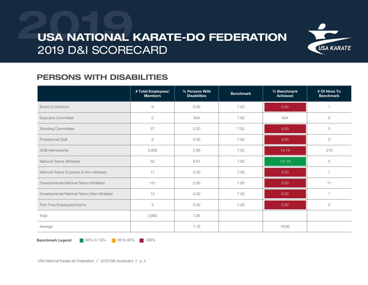

### PERSONS WITH DISABILITIES

|                                             | # Total Employees/<br><b>Members</b> | % Persons With<br><b>Disabilities</b> | <b>Benchmark</b> | % Benchmark<br><b>Achieved</b> | # Of Hires To<br><b>Benchmark</b> |
|---------------------------------------------|--------------------------------------|---------------------------------------|------------------|--------------------------------|-----------------------------------|
| <b>Board of Directors</b>                   | $\mathcal{G}$                        | 0.00                                  | 7.00             | 0.00                           |                                   |
| <b>Executive Committee</b>                  | $\circ$                              | N/A                                   | 7.00             | N/A                            | $\circ$                           |
| <b>Standing Committees</b>                  | 37                                   | 0.00                                  | 7.00             | 0.00                           | 3                                 |
| <b>Professional Staff</b>                   | $\sqrt{2}$                           | 0.00                                  | 7.00             | 0.00                           | $\circ$                           |
| NGB Membership                              | 3,606                                | 0.99                                  | 7.00             | 14.14                          | 216                               |
| National Teams (Athletes)                   | 52                                   | 9.61                                  | 7.00             | 137.29                         | $\circ$                           |
| National Teams (Coaches & Non-Athletes)     | 11                                   | 0.00                                  | 7.00             | 0.00                           |                                   |
| Developmental National Teams (Athletes)     | 151                                  | 0.00                                  | 7.00             | 0.00                           | 11                                |
| Developmental National Teams (Non-Athletes) | 12                                   | 0.00                                  | 7.00             | 0.00                           |                                   |
| Part-Time Employees/Interns                 | 3                                    | 0.00                                  | 7.00             | 0.00                           | $\circlearrowright$               |
| Total                                       | 3,883                                | 1.05                                  |                  |                                |                                   |
| Average                                     |                                      | 1.18                                  |                  | 16.83                          |                                   |